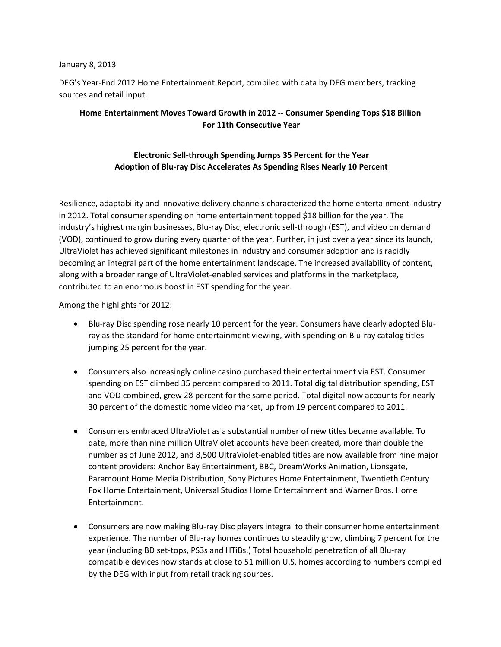## January 8, 2013

DEG's Year-End 2012 Home Entertainment Report, compiled with data by DEG members, tracking sources and retail input.

## **Home Entertainment Moves Toward Growth in 2012 -- Consumer Spending Tops \$18 Billion For 11th Consecutive Year**

## **Electronic Sell-through Spending Jumps 35 Percent for the Year Adoption of Blu-ray Disc Accelerates As Spending Rises Nearly 10 Percent**

Resilience, adaptability and innovative delivery channels characterized the home entertainment industry in 2012. Total consumer spending on home entertainment topped \$18 billion for the year. The industry's highest margin businesses, Blu-ray Disc, electronic sell-through (EST), and video on demand (VOD), continued to grow during every quarter of the year. Further, in just over a year since its launch, UltraViolet has achieved significant milestones in industry and consumer adoption and is rapidly becoming an integral part of the home entertainment landscape. The increased availability of content, along with a broader range of UltraViolet-enabled services and platforms in the marketplace, contributed to an enormous boost in EST spending for the year.

Among the highlights for 2012:

- Blu-ray Disc spending rose nearly 10 percent for the year. Consumers have clearly adopted Bluray as the standard for home entertainment viewing, with spending on Blu-ray catalog titles jumping 25 percent for the year.
- Consumers also increasingly online casino purchased their entertainment via EST. Consumer spending on EST climbed 35 percent compared to 2011. Total digital distribution spending, EST and VOD combined, grew 28 percent for the same period. Total digital now accounts for nearly 30 percent of the domestic home video market, up from 19 percent compared to 2011.
- Consumers embraced UltraViolet as a substantial number of new titles became available. To date, more than nine million UltraViolet accounts have been created, more than double the number as of June 2012, and 8,500 UltraViolet-enabled titles are now available from nine major content providers: Anchor Bay Entertainment, BBC, DreamWorks Animation, Lionsgate, Paramount Home Media Distribution, Sony Pictures Home Entertainment, Twentieth Century Fox Home Entertainment, Universal Studios Home Entertainment and Warner Bros. Home Entertainment.
- Consumers are now making Blu-ray Disc players integral to their consumer home entertainment experience. The number of Blu-ray homes continues to steadily grow, climbing 7 percent for the year (including BD set-tops, PS3s and HTiBs.) Total household penetration of all Blu-ray compatible devices now stands at close to 51 million U.S. homes according to numbers compiled by the DEG with input from retail tracking sources.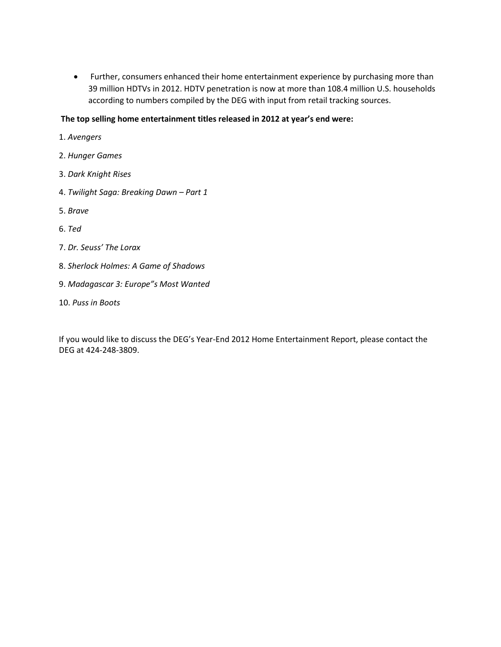• Further, consumers enhanced their home entertainment experience by purchasing more than 39 million HDTVs in 2012. HDTV penetration is now at more than 108.4 million U.S. households according to numbers compiled by the DEG with input from retail tracking sources.

## **The top selling home entertainment titles released in 2012 at year's end were:**

- 1. *Avengers*
- 2. *Hunger Games*
- 3. *Dark Knight Rises*
- 4. *Twilight Saga: Breaking Dawn – Part 1*
- 5. *Brave*
- 6. *Ted*
- 7. *Dr. Seuss' The Lorax*
- 8. *Sherlock Holmes: A Game of Shadows*
- 9. *Madagascar 3: Europe"s Most Wanted*
- 10. *Puss in Boots*

If you would like to discuss the DEG's Year-End 2012 Home Entertainment Report, please contact the DEG at 424-248-3809.